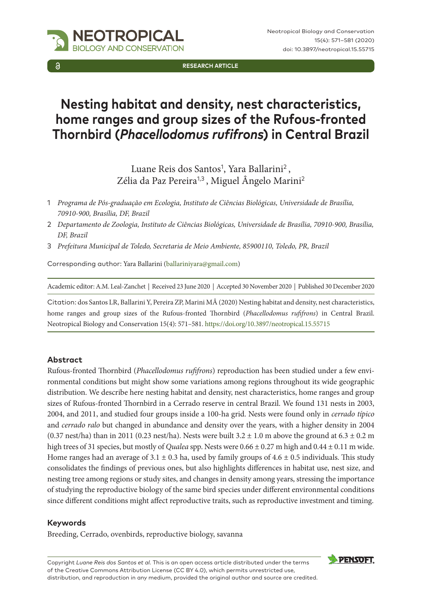**RESEARCH ARTICLE**

# **Nesting habitat and density, nest characteristics, home ranges and group sizes of the Rufous-fronted Thornbird (***Phacellodomus rufifrons***) in Central Brazil**

Luane Reis dos Santos<sup>1</sup>, Yara Ballarini<sup>2</sup>, Zélia da Paz Pereira<sup>1,3</sup>, Miguel Ângelo Marini<sup>2</sup>

- 1 *Programa de Pós-graduação em Ecologia, Instituto de Ciências Biológicas, Universidade de Brasília, 70910-900, Brasília, DF, Brazil*
- 2 *Departamento de Zoologia, Instituto de Ciências Biológicas, Universidade de Brasília, 70910-900, Brasília, DF, Brazil*
- 3 *Prefeitura Municipal de Toledo, Secretaria de Meio Ambiente, 85900110, Toledo, PR, Brazil*

Corresponding author: Yara Ballarini [\(ballariniyara@gmail.com\)](mailto:ballariniyara@gmail.com)

Academic editor: A.M. Leal-Zanchet | Received 23 June 2020 | Accepted 30 November 2020 | Published 30 December 2020

Citation: dos Santos LR, Ballarini Y, Pereira ZP, Marini МÂ (2020) Nesting habitat and density, nest characteristics, home ranges and group sizes of the Rufous-fronted Thornbird (*Phacellodomus rufifrons*) in Central Brazil. Neotropical Biology and Conservation 15(4): 571–581.<https://doi.org/10.3897/neotropical.15.55715>

#### **Abstract**

Rufous-fronted Thornbird (*Phacellodomus rufifrons*) reproduction has been studied under a few environmental conditions but might show some variations among regions throughout its wide geographic distribution. We describe here nesting habitat and density, nest characteristics, home ranges and group sizes of Rufous-fronted Thornbird in a Cerrado reserve in central Brazil. We found 131 nests in 2003, 2004, and 2011, and studied four groups inside a 100-ha grid. Nests were found only in *cerrado típico* and *cerrado ralo* but changed in abundance and density over the years, with a higher density in 2004 (0.37 nest/ha) than in 2011 (0.23 nest/ha). Nests were built  $3.2 \pm 1.0$  m above the ground at  $6.3 \pm 0.2$  m high trees of 31 species, but mostly of *Qualea* spp. Nests were 0.66  $\pm$  0.27 m high and 0.44  $\pm$  0.11 m wide. Home ranges had an average of  $3.1 \pm 0.3$  ha, used by family groups of  $4.6 \pm 0.5$  individuals. This study consolidates the findings of previous ones, but also highlights differences in habitat use, nest size, and nesting tree among regions or study sites, and changes in density among years, stressing the importance of studying the reproductive biology of the same bird species under different environmental conditions since different conditions might affect reproductive traits, such as reproductive investment and timing.

#### **Keywords**

Breeding, Cerrado, ovenbirds, reproductive biology, savanna

Copyright *Luane Reis dos Santos et al.* This is an open access article distributed under the terms of the [Creative Commons Attribution License \(CC BY 4.0\)](http://creativecommons.org/licenses/by/4.0/), which permits unrestricted use, distribution, and reproduction in any medium, provided the original author and source are credited.

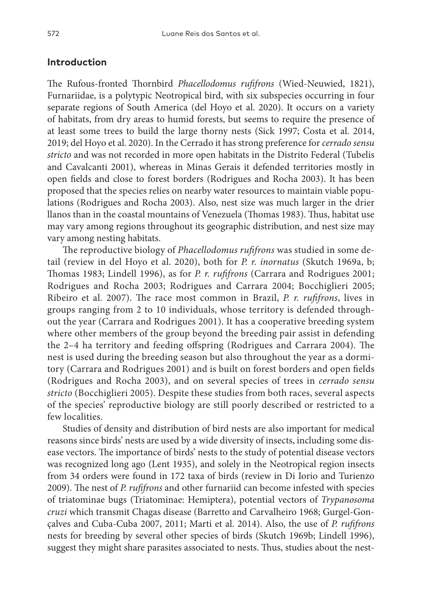# **Introduction**

The Rufous-fronted Thornbird *Phacellodomus rufifrons* (Wied-Neuwied, 1821), Furnariidae, is a polytypic Neotropical bird, with six subspecies occurring in four separate regions of South America (del Hoyo et al. 2020). It occurs on a variety of habitats, from dry areas to humid forests, but seems to require the presence of at least some trees to build the large thorny nests (Sick 1997; Costa et al. 2014, 2019; del Hoyo et al. 2020). In the Cerrado it has strong preference for *cerrado sensu stricto* and was not recorded in more open habitats in the Distrito Federal (Tubelis and Cavalcanti 2001), whereas in Minas Gerais it defended territories mostly in open fields and close to forest borders (Rodrigues and Rocha 2003). It has been proposed that the species relies on nearby water resources to maintain viable populations (Rodrigues and Rocha 2003). Also, nest size was much larger in the drier llanos than in the coastal mountains of Venezuela (Thomas 1983). Thus, habitat use may vary among regions throughout its geographic distribution, and nest size may vary among nesting habitats.

The reproductive biology of *Phacellodomus rufifrons* was studied in some detail (review in del Hoyo et al. 2020), both for *P. r. inornatus* (Skutch 1969a, b; Thomas 1983; Lindell 1996), as for *P. r. rufifrons* (Carrara and Rodrigues 2001; Rodrigues and Rocha 2003; Rodrigues and Carrara 2004; Bocchiglieri 2005; Ribeiro et al. 2007). The race most common in Brazil, *P. r. rufifrons*, lives in groups ranging from 2 to 10 individuals, whose territory is defended throughout the year (Carrara and Rodrigues 2001). It has a cooperative breeding system where other members of the group beyond the breeding pair assist in defending the 2–4 ha territory and feeding offspring (Rodrigues and Carrara 2004). The nest is used during the breeding season but also throughout the year as a dormitory (Carrara and Rodrigues 2001) and is built on forest borders and open fields (Rodrigues and Rocha 2003), and on several species of trees in *cerrado sensu stricto* (Bocchiglieri 2005). Despite these studies from both races, several aspects of the species' reproductive biology are still poorly described or restricted to a few localities.

Studies of density and distribution of bird nests are also important for medical reasons since birds' nests are used by a wide diversity of insects, including some disease vectors. The importance of birds' nests to the study of potential disease vectors was recognized long ago (Lent 1935), and solely in the Neotropical region insects from 34 orders were found in 172 taxa of birds (review in Di Iorio and Turienzo 2009). The nest of *P. rufifrons* and other furnariid can become infested with species of triatominae bugs (Triatominae: Hemiptera), potential vectors of *Trypanosoma cruzi* which transmit Chagas disease (Barretto and Carvalheiro 1968; Gurgel-Gonçalves and Cuba-Cuba 2007, 2011; Marti et al. 2014). Also, the use of *P. rufifrons* nests for breeding by several other species of birds (Skutch 1969b; Lindell 1996), suggest they might share parasites associated to nests. Thus, studies about the nest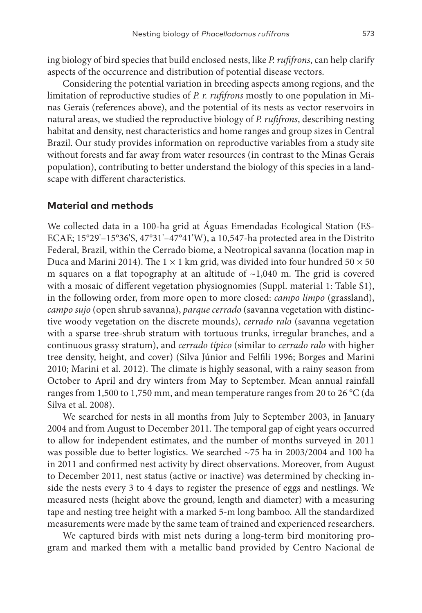ing biology of bird species that build enclosed nests, like *P. rufifrons*, can help clarify aspects of the occurrence and distribution of potential disease vectors.

Considering the potential variation in breeding aspects among regions, and the limitation of reproductive studies of *P. r. rufifrons* mostly to one population in Minas Gerais (references above), and the potential of its nests as vector reservoirs in natural areas, we studied the reproductive biology of *P. rufifrons*, describing nesting habitat and density, nest characteristics and home ranges and group sizes in Central Brazil. Our study provides information on reproductive variables from a study site without forests and far away from water resources (in contrast to the Minas Gerais population), contributing to better understand the biology of this species in a landscape with different characteristics.

### **Material and methods**

We collected data in a 100-ha grid at Águas Emendadas Ecological Station (ES-ECAE; 15°29'–15°36'S, 47°31'–47°41'W), a 10,547-ha protected area in the Distrito Federal, Brazil, within the Cerrado biome, a Neotropical savanna (location map in Duca and Marini 2014). The  $1 \times 1$  km grid, was divided into four hundred  $50 \times 50$ m squares on a flat topography at an altitude of  $\sim$ 1,040 m. The grid is covered with a mosaic of different vegetation physiognomies (Suppl. material 1: Table S1), in the following order, from more open to more closed: *campo limpo* (grassland), *campo sujo* (open shrub savanna), *parque cerrado* (savanna vegetation with distinctive woody vegetation on the discrete mounds), *cerrado ralo* (savanna vegetation with a sparse tree-shrub stratum with tortuous trunks, irregular branches, and a continuous grassy stratum), and *cerrado típico* (similar to *cerrado ralo* with higher tree density, height, and cover) (Silva Júnior and Felfili 1996; Borges and Marini 2010; Marini et al. 2012). The climate is highly seasonal, with a rainy season from October to April and dry winters from May to September. Mean annual rainfall ranges from 1,500 to 1,750 mm, and mean temperature ranges from 20 to 26 °C (da Silva et al. 2008).

We searched for nests in all months from July to September 2003, in January 2004 and from August to December 2011. The temporal gap of eight years occurred to allow for independent estimates, and the number of months surveyed in 2011 was possible due to better logistics. We searched ~75 ha in 2003/2004 and 100 ha in 2011 and confirmed nest activity by direct observations. Moreover, from August to December 2011, nest status (active or inactive) was determined by checking inside the nests every 3 to 4 days to register the presence of eggs and nestlings. We measured nests (height above the ground, length and diameter) with a measuring tape and nesting tree height with a marked 5-m long bamboo. All the standardized measurements were made by the same team of trained and experienced researchers.

We captured birds with mist nets during a long-term bird monitoring program and marked them with a metallic band provided by Centro Nacional de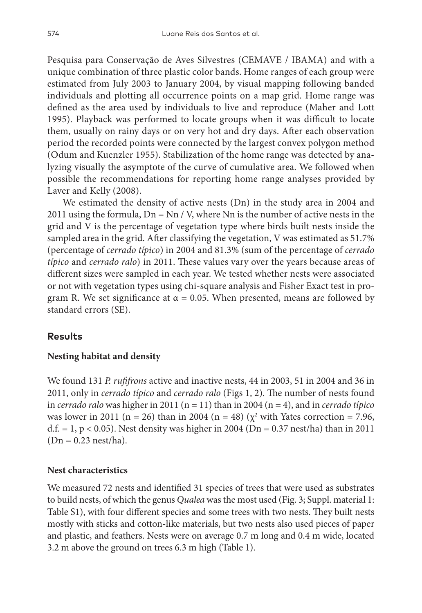Pesquisa para Conservação de Aves Silvestres (CEMAVE / IBAMA) and with a unique combination of three plastic color bands. Home ranges of each group were estimated from July 2003 to January 2004, by visual mapping following banded individuals and plotting all occurrence points on a map grid. Home range was defined as the area used by individuals to live and reproduce (Maher and Lott 1995). Playback was performed to locate groups when it was difficult to locate them, usually on rainy days or on very hot and dry days. After each observation period the recorded points were connected by the largest convex polygon method (Odum and Kuenzler 1955). Stabilization of the home range was detected by analyzing visually the asymptote of the curve of cumulative area. We followed when possible the recommendations for reporting home range analyses provided by Laver and Kelly (2008).

We estimated the density of active nests (Dn) in the study area in 2004 and 2011 using the formula,  $Dn = Nn / V$ , where Nn is the number of active nests in the grid and V is the percentage of vegetation type where birds built nests inside the sampled area in the grid. After classifying the vegetation, V was estimated as 51.7% (percentage of *cerrado típico*) in 2004 and 81.3% (sum of the percentage of *cerrado típico* and *cerrado ralo*) in 2011. These values vary over the years because areas of different sizes were sampled in each year. We tested whether nests were associated or not with vegetation types using chi-square analysis and Fisher Exact test in program R. We set significance at  $\alpha = 0.05$ . When presented, means are followed by standard errors (SE).

# **Results**

### **Nesting habitat and density**

We found 131 *P. rufifrons* active and inactive nests, 44 in 2003, 51 in 2004 and 36 in 2011, only in *cerrado típico* and *cerrado ralo* (Figs 1, 2). The number of nests found in *cerrado ralo* was higher in 2011 (n = 11) than in 2004 (n = 4), and in *cerrado típico* was lower in 2011 (n = 26) than in 2004 (n = 48) ( $\chi^2$  with Yates correction = 7.96, d.f. = 1,  $p$  < 0.05). Nest density was higher in 2004 (Dn = 0.37 nest/ha) than in 2011  $(Dn = 0.23 \text{ nest/ha}).$ 

### **Nest characteristics**

We measured 72 nests and identified 31 species of trees that were used as substrates to build nests, of which the genus *Qualea* was the most used (Fig. 3; Suppl. material 1: Table S1), with four different species and some trees with two nests. They built nests mostly with sticks and cotton-like materials, but two nests also used pieces of paper and plastic, and feathers. Nests were on average 0.7 m long and 0.4 m wide, located 3.2 m above the ground on trees 6.3 m high (Table 1).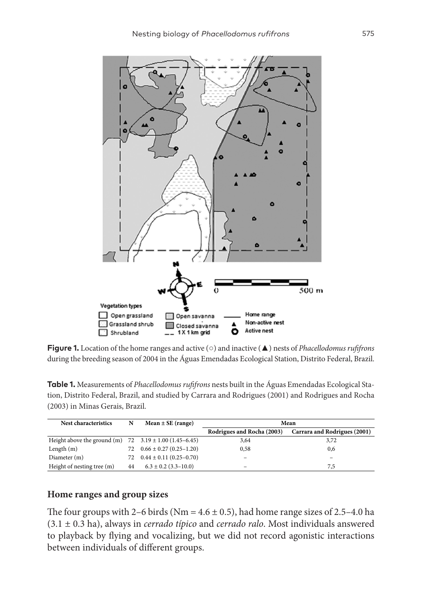

**Figure 1.** Location of the home ranges and active (○) and inactive (▲) nests of *Phacellodomus rufifrons* during the breeding season of 2004 in the Águas Emendadas Ecological Station, Distrito Federal, Brazil.

**Table 1.** Measurements of *Phacellodomus rufifrons* nests built in the Águas Emendadas Ecological Station, Distrito Federal, Brazil, and studied by Carrara and Rodrigues (2001) and Rodrigues and Rocha (2003) in Minas Gerais, Brazil.

| <b>Nest characteristics</b>                                      | N   | Mean $\pm$ SE (range)       | Mean                       |                              |
|------------------------------------------------------------------|-----|-----------------------------|----------------------------|------------------------------|
|                                                                  |     |                             | Rodrigues and Rocha (2003) | Carrara and Rodrigues (2001) |
| Height above the ground (m) $72 \quad 3.19 \pm 1.00$ (1.45–6.45) |     |                             | 3,64                       | 3,72                         |
| Length $(m)$                                                     | 72  | $0.66 \pm 0.27$ (0.25-1.20) | 0,58                       | 0,6                          |
| Diameter (m)                                                     | 72. | $0.44 \pm 0.11$ (0.25-0.70) | -                          | -                            |
| Height of nesting tree (m)                                       | 44  | $6.3 \pm 0.2$ (3.3-10.0)    | -                          | 7,5                          |

#### **Home ranges and group sizes**

The four groups with 2–6 birds (Nm =  $4.6 \pm 0.5$ ), had home range sizes of 2.5–4.0 ha (3.1 ± 0.3 ha), always in *cerrado típico* and *cerrado ralo*. Most individuals answered to playback by flying and vocalizing, but we did not record agonistic interactions between individuals of different groups.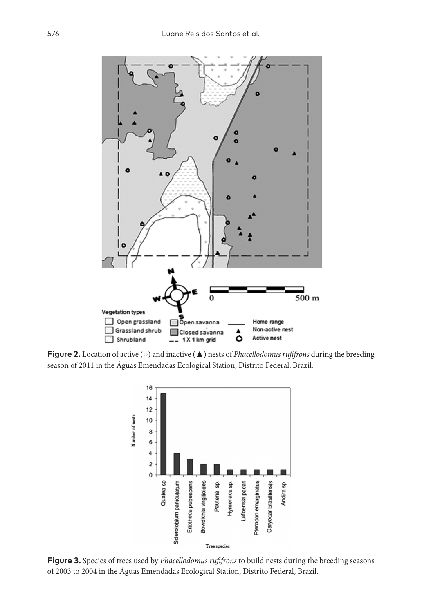

**Figure 2.** Location of active (○) and inactive (▲) nests of *Phacellodomus rufifrons* during the breeding season of 2011 in the Águas Emendadas Ecological Station, Distrito Federal, Brazil.



**Figure 3.** Species of trees used by *Phacellodomus rufifrons* to build nests during the breeding seasons of 2003 to 2004 in the Águas Emendadas Ecological Station, Distrito Federal, Brazil.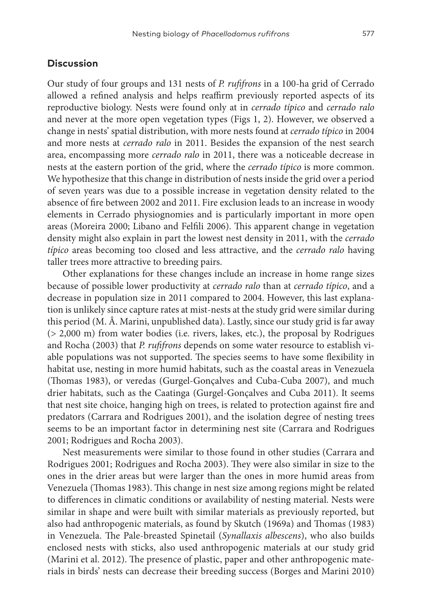## **Discussion**

Our study of four groups and 131 nests of *P. rufifrons* in a 100-ha grid of Cerrado allowed a refined analysis and helps reaffirm previously reported aspects of its reproductive biology. Nests were found only at in *cerrado típico* and *cerrado ralo* and never at the more open vegetation types (Figs 1, 2). However, we observed a change in nests' spatial distribution, with more nests found at *cerrado típico* in 2004 and more nests at *cerrado ralo* in 2011. Besides the expansion of the nest search area, encompassing more *cerrado ralo* in 2011, there was a noticeable decrease in nests at the eastern portion of the grid, where the *cerrado típico* is more common. We hypothesize that this change in distribution of nests inside the grid over a period of seven years was due to a possible increase in vegetation density related to the absence of fire between 2002 and 2011. Fire exclusion leads to an increase in woody elements in Cerrado physiognomies and is particularly important in more open areas (Moreira 2000; Libano and Felfili 2006). This apparent change in vegetation density might also explain in part the lowest nest density in 2011, with the *cerrado típico* areas becoming too closed and less attractive, and the *cerrado ralo* having taller trees more attractive to breeding pairs.

Other explanations for these changes include an increase in home range sizes because of possible lower productivity at *cerrado ralo* than at *cerrado típico*, and a decrease in population size in 2011 compared to 2004. However, this last explanation is unlikely since capture rates at mist-nests at the study grid were similar during this period (M. Â. Marini, unpublished data). Lastly, since our study grid is far away (> 2,000 m) from water bodies (i.e. rivers, lakes, etc.), the proposal by Rodrigues and Rocha (2003) that *P. rufifrons* depends on some water resource to establish viable populations was not supported. The species seems to have some flexibility in habitat use, nesting in more humid habitats, such as the coastal areas in Venezuela (Thomas 1983), or veredas (Gurgel-Gonçalves and Cuba-Cuba 2007), and much drier habitats, such as the Caatinga (Gurgel-Gonçalves and Cuba 2011). It seems that nest site choice, hanging high on trees, is related to protection against fire and predators (Carrara and Rodrigues 2001), and the isolation degree of nesting trees seems to be an important factor in determining nest site (Carrara and Rodrigues 2001; Rodrigues and Rocha 2003).

Nest measurements were similar to those found in other studies (Carrara and Rodrigues 2001; Rodrigues and Rocha 2003). They were also similar in size to the ones in the drier areas but were larger than the ones in more humid areas from Venezuela (Thomas 1983). This change in nest size among regions might be related to differences in climatic conditions or availability of nesting material. Nests were similar in shape and were built with similar materials as previously reported, but also had anthropogenic materials, as found by Skutch (1969a) and Thomas (1983) in Venezuela. The Pale-breasted Spinetail (*Synallaxis albescens*), who also builds enclosed nests with sticks, also used anthropogenic materials at our study grid (Marini et al. 2012). The presence of plastic, paper and other anthropogenic materials in birds' nests can decrease their breeding success (Borges and Marini 2010)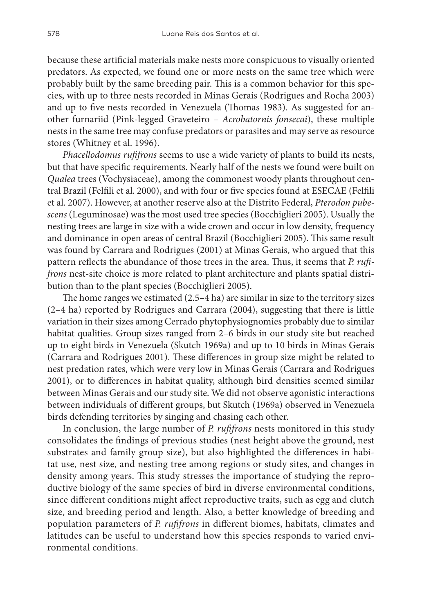because these artificial materials make nests more conspicuous to visually oriented predators. As expected, we found one or more nests on the same tree which were probably built by the same breeding pair. This is a common behavior for this species, with up to three nests recorded in Minas Gerais (Rodrigues and Rocha 2003) and up to five nests recorded in Venezuela (Thomas 1983). As suggested for another furnariid (Pink-legged Graveteiro – *Acrobatornis fonsecai*), these multiple nests in the same tree may confuse predators or parasites and may serve as resource stores (Whitney et al. 1996).

*Phacellodomus rufifrons* seems to use a wide variety of plants to build its nests, but that have specific requirements. Nearly half of the nests we found were built on *Qualea* trees (Vochysiaceae), among the commonest woody plants throughout central Brazil (Felfili et al. 2000), and with four or five species found at ESECAE (Felfili et al. 2007). However, at another reserve also at the Distrito Federal, *Pterodon pubescens* (Leguminosae) was the most used tree species (Bocchiglieri 2005). Usually the nesting trees are large in size with a wide crown and occur in low density, frequency and dominance in open areas of central Brazil (Bocchiglieri 2005). This same result was found by Carrara and Rodrigues (2001) at Minas Gerais, who argued that this pattern reflects the abundance of those trees in the area. Thus, it seems that *P. rufifrons* nest-site choice is more related to plant architecture and plants spatial distribution than to the plant species (Bocchiglieri 2005).

The home ranges we estimated (2.5–4 ha) are similar in size to the territory sizes (2–4 ha) reported by Rodrigues and Carrara (2004), suggesting that there is little variation in their sizes among Cerrado phytophysiognomies probably due to similar habitat qualities. Group sizes ranged from 2–6 birds in our study site but reached up to eight birds in Venezuela (Skutch 1969a) and up to 10 birds in Minas Gerais (Carrara and Rodrigues 2001). These differences in group size might be related to nest predation rates, which were very low in Minas Gerais (Carrara and Rodrigues 2001), or to differences in habitat quality, although bird densities seemed similar between Minas Gerais and our study site. We did not observe agonistic interactions between individuals of different groups, but Skutch (1969a) observed in Venezuela birds defending territories by singing and chasing each other.

In conclusion, the large number of *P. rufifrons* nests monitored in this study consolidates the findings of previous studies (nest height above the ground, nest substrates and family group size), but also highlighted the differences in habitat use, nest size, and nesting tree among regions or study sites, and changes in density among years. This study stresses the importance of studying the reproductive biology of the same species of bird in diverse environmental conditions, since different conditions might affect reproductive traits, such as egg and clutch size, and breeding period and length. Also, a better knowledge of breeding and population parameters of *P. rufifrons* in different biomes, habitats, climates and latitudes can be useful to understand how this species responds to varied environmental conditions.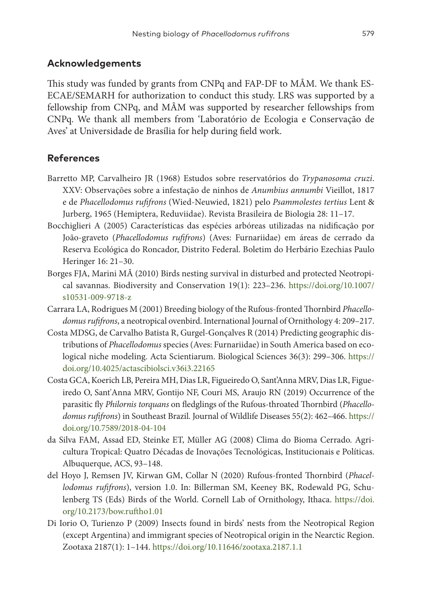# **Acknowledgements**

This study was funded by grants from CNPq and FAP-DF to MÂM. We thank ES-ECAE/SEMARH for authorization to conduct this study. LRS was supported by a fellowship from CNPq, and MÂM was supported by researcher fellowships from CNPq. We thank all members from 'Laboratório de Ecologia e Conservação de Aves' at Universidade de Brasília for help during field work.

# **References**

- Barretto MP, Carvalheiro JR (1968) Estudos sobre reservatórios do *Trypanosoma cruzi*. XXV: Observações sobre a infestação de ninhos de *Anumbius annumbi* Vieillot, 1817 e de *Phacellodomus rufifrons* (Wied-Neuwied, 1821) pelo *Psammolestes tertius* Lent & Jurberg, 1965 (Hemiptera, Reduviidae). Revista Brasileira de Biologia 28: 11–17.
- Bocchiglieri A (2005) Características das espécies arbóreas utilizadas na nidificação por João-graveto (*Phacellodomus rufifrons*) (Aves: Furnariidae) em áreas de cerrado da Reserva Ecológica do Roncador, Distrito Federal. Boletim do Herbário Ezechias Paulo Heringer 16: 21–30.
- Borges FJA, Marini MÂ (2010) Birds nesting survival in disturbed and protected Neotropical savannas. Biodiversity and Conservation 19(1): 223–236. [https://doi.org/10.1007/](https://doi.org/10.1007/s10531-009-9718-z) [s10531-009-9718-z](https://doi.org/10.1007/s10531-009-9718-z)
- Carrara LA, Rodrigues M (2001) Breeding biology of the Rufous-fronted Thornbird *Phacellodomusrufifrons*, a neotropical ovenbird. International Journal of Ornithology 4: 209–217.
- Costa MDSG, de Carvalho Batista R, Gurgel-Gonçalves R (2014) Predicting geographic distributions of *Phacellodomus* species (Aves: Furnariidae) in South America based on ecological niche modeling. Acta Scientiarum. Biological Sciences 36(3): 299–306. [https://](https://doi.org/10.4025/actascibiolsci.v36i3.22165) [doi.org/10.4025/actascibiolsci.v36i3.22165](https://doi.org/10.4025/actascibiolsci.v36i3.22165)
- Costa GCA, Koerich LB, Pereira MH, Dias LR, Figueiredo O, Sant'Anna MRV, Dias LR, Figueiredo O, Sant'Anna MRV, Gontijo NF, Couri MS, Araujo RN (2019) Occurrence of the parasitic fly *Philornis torquans* on fledglings of the Rufous-throated Thornbird (*Phacellodomus rufifrons*) in Southeast Brazil. Journal of Wildlife Diseases 55(2): 462–466. [https://](https://doi.org/10.7589/2018-04-104) [doi.org/10.7589/2018-04-104](https://doi.org/10.7589/2018-04-104)
- da Silva FAM, Assad ED, Steinke ET, Müller AG (2008) Clima do Bioma Cerrado. Agricultura Tropical: Quatro Décadas de Inovações Tecnológicas, Institucionais e Políticas. Albuquerque, ACS, 93–148.
- del Hoyo J, Remsen JV, Kirwan GM, Collar N (2020) Rufous-fronted Thornbird (*Phacellodomus rufifrons*), version 1.0. In: Billerman SM, Keeney BK, Rodewald PG, Schulenberg TS (Eds) Birds of the World. Cornell Lab of Ornithology, Ithaca. [https://doi.](https://doi.org/10.2173/bow.ruftho1.01) [org/10.2173/bow.ruftho1.01](https://doi.org/10.2173/bow.ruftho1.01)
- Di Iorio O, Turienzo P (2009) Insects found in birds' nests from the Neotropical Region (except Argentina) and immigrant species of Neotropical origin in the Nearctic Region. Zootaxa 2187(1): 1–144.<https://doi.org/10.11646/zootaxa.2187.1.1>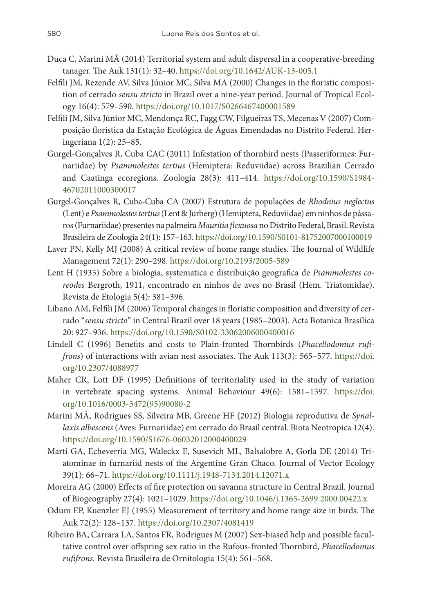- Duca C, Marini MÂ (2014) Territorial system and adult dispersal in a cooperative-breeding tanager. The Auk 131(1): 32–40.<https://doi.org/10.1642/AUK-13-005.1>
- Felfili JM, Rezende AV, Silva Júnior MC, Silva MA (2000) Changes in the floristic composition of cerrado *sensu stricto* in Brazil over a nine-year period. Journal of Tropical Ecology 16(4): 579–590. <https://doi.org/10.1017/S0266467400001589>
- Felfili JM, Silva Júnior MC, Mendonça RC, Fagg CW, Filgueiras TS, Mecenas V (2007) Composição florística da Estação Ecológica de Águas Emendadas no Distrito Federal. Heringeriana 1(2): 25–85.
- Gurgel-Gonçalves R, Cuba CAC (2011) Infestation of thornbird nests (Passeriformes: Furnariidae) by *Psammolestes tertius* (Hemiptera: Reduviidae) across Brazilian Cerrado and Caatinga ecoregions. Zoologia 28(3): 411–414. [https://doi.org/10.1590/S1984-](https://doi.org/10.1590/S1984-46702011000300017) [46702011000300017](https://doi.org/10.1590/S1984-46702011000300017)
- Gurgel-Gonçalves R, Cuba-Cuba CA (2007) Estrutura de populações de *Rhodnius neglectus* (Lent) e*Psammolestestertius* (Lent & Jurberg) (Hemiptera, Reduviidae) emninhos de pássaros (Furnariidae) presentesna palmeira*Mauritia flexuosa*noDistrito Federal, Brasil. Revista Brasileira de Zoologia 24(1): 157–163.<https://doi.org/10.1590/S0101-81752007000100019>
- Laver PN, Kelly MJ (2008) A critical review of home range studies. The Journal of Wildlife Management 72(1): 290–298. <https://doi.org/10.2193/2005-589>
- Lent H (1935) Sobre a biologia, systematica e distribuição geografica de *Psammolestes coreodes* Bergroth, 1911, encontrado en ninhos de aves no Brasil (Hem. Triatomidae). Revista de Etologia 5(4): 381–396.
- Libano AM, Felfili JM (2006) Temporal changes in floristic composition and diversity of cerrado "*sensu stricto*" in Central Brazil over 18 years (1985–2003). Acta Botanica Brasílica 20: 927–936.<https://doi.org/10.1590/S0102-33062006000400016>
- Lindell C (1996) Benefits and costs to Plain-fronted Thornbirds (*Phacellodomus rufifrons*) of interactions with avian nest associates. The Auk 113(3): 565–577. [https://doi.](https://doi.org/10.2307/4088977) [org/10.2307/4088977](https://doi.org/10.2307/4088977)
- Maher CR, Lott DF (1995) Definitions of territoriality used in the study of variation in vertebrate spacing systems. Animal Behaviour 49(6): 1581–1597. [https://doi.](https://doi.org/10.1016/0003-3472(95)90080-2) [org/10.1016/0003-3472\(95\)90080-2](https://doi.org/10.1016/0003-3472(95)90080-2)
- Marini MÂ, Rodrigues SS, Silveira MB, Greene HF (2012) Biologia reprodutiva de *Synallaxis albescens* (Aves: Furnariidae) em cerrado do Brasil central. Biota Neotropica 12(4). <https://doi.org/10.1590/S1676-06032012000400029>
- Marti GA, Echeverria MG, Waleckx E, Susevich ML, Balsalobre A, Gorla DE (2014) Triatominae in furnariid nests of the Argentine Gran Chaco. Journal of Vector Ecology 39(1): 66–71.<https://doi.org/10.1111/j.1948-7134.2014.12071.x>
- Moreira AG (2000) Effects of fire protection on savanna structure in Central Brazil. Journal of Biogeography 27(4): 1021–1029.<https://doi.org/10.1046/j.1365-2699.2000.00422.x>
- Odum EP, Kuenzler EJ (1955) Measurement of territory and home range size in birds. The Auk 72(2): 128–137. <https://doi.org/10.2307/4081419>
- Ribeiro BA, Carrara LA, Santos FR, Rodrigues M (2007) Sex-biased help and possible facultative control over offspring sex ratio in the Rufous-fronted Thornbird, *Phacellodomus rufifrons.* Revista Brasileira de Ornitologia 15(4): 561–568.